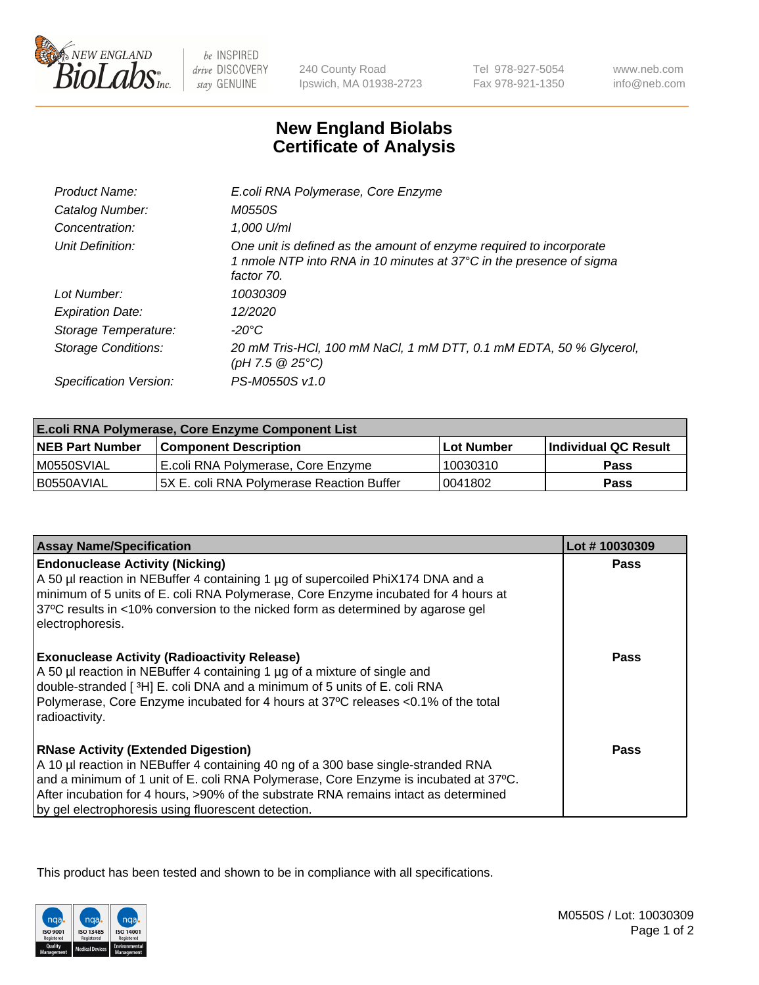

 $be$  INSPIRED drive DISCOVERY stay GENUINE

240 County Road Ipswich, MA 01938-2723 Tel 978-927-5054 Fax 978-921-1350 www.neb.com info@neb.com

## **New England Biolabs Certificate of Analysis**

| Product Name:              | E.coli RNA Polymerase, Core Enzyme                                                                                                                       |
|----------------------------|----------------------------------------------------------------------------------------------------------------------------------------------------------|
| Catalog Number:            | M0550S                                                                                                                                                   |
| Concentration:             | 1.000 U/ml                                                                                                                                               |
| Unit Definition:           | One unit is defined as the amount of enzyme required to incorporate<br>1 nmole NTP into RNA in 10 minutes at 37°C in the presence of sigma<br>factor 70. |
| Lot Number:                | 10030309                                                                                                                                                 |
| <b>Expiration Date:</b>    | 12/2020                                                                                                                                                  |
| Storage Temperature:       | $-20^{\circ}$ C                                                                                                                                          |
| <b>Storage Conditions:</b> | 20 mM Tris-HCl, 100 mM NaCl, 1 mM DTT, 0.1 mM EDTA, 50 % Glycerol,<br>(pH 7.5 @ 25°C)                                                                    |
| Specification Version:     | PS-M0550S v1.0                                                                                                                                           |

| <b>E.coli RNA Polymerase, Core Enzyme Component List</b> |                                            |            |                      |  |
|----------------------------------------------------------|--------------------------------------------|------------|----------------------|--|
| <b>NEB Part Number</b>                                   | <b>Component Description</b>               | Lot Number | Individual QC Result |  |
| M0550SVIAL                                               | E.coli RNA Polymerase, Core Enzyme         | 10030310   | Pass                 |  |
| I B0550AVIAL                                             | I5X E. coli RNA Polvmerase Reaction Buffer | 10041802   | <b>Pass</b>          |  |

| <b>Assay Name/Specification</b>                                                                                                                                                                                                                                                                                                                                        | Lot #10030309 |
|------------------------------------------------------------------------------------------------------------------------------------------------------------------------------------------------------------------------------------------------------------------------------------------------------------------------------------------------------------------------|---------------|
| <b>Endonuclease Activity (Nicking)</b><br>A 50 µl reaction in NEBuffer 4 containing 1 µg of supercoiled PhiX174 DNA and a<br>minimum of 5 units of E. coli RNA Polymerase, Core Enzyme incubated for 4 hours at<br>37°C results in <10% conversion to the nicked form as determined by agarose gel<br>electrophoresis.                                                 | <b>Pass</b>   |
| <b>Exonuclease Activity (Radioactivity Release)</b><br>A 50 µl reaction in NEBuffer 4 containing 1 µg of a mixture of single and<br>double-stranded [3H] E. coli DNA and a minimum of 5 units of E. coli RNA<br>Polymerase, Core Enzyme incubated for 4 hours at 37°C releases <0.1% of the total<br>radioactivity.                                                    | Pass          |
| <b>RNase Activity (Extended Digestion)</b><br>A 10 µl reaction in NEBuffer 4 containing 40 ng of a 300 base single-stranded RNA<br>and a minimum of 1 unit of E. coli RNA Polymerase, Core Enzyme is incubated at 37°C.<br>After incubation for 4 hours, >90% of the substrate RNA remains intact as determined<br>by gel electrophoresis using fluorescent detection. | Pass          |

This product has been tested and shown to be in compliance with all specifications.